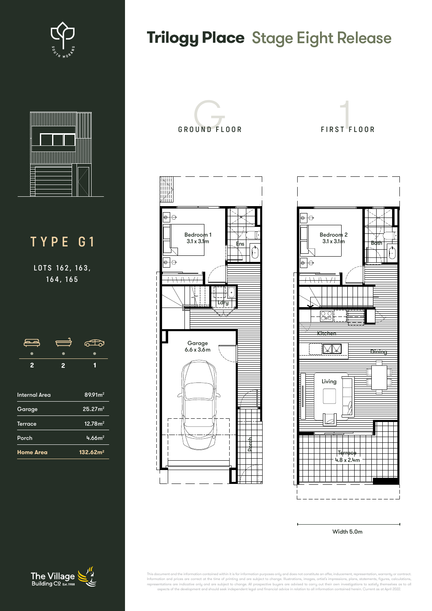



## TYPE G1

LOTS 162, 163, 164, 165

| $\overline{2}$       | $\overline{2}$ | 1                   |
|----------------------|----------------|---------------------|
| <b>Internal Area</b> |                | $89.91m^2$          |
| Garage               |                | 25.27 <sup>2</sup>  |
| <b>Terrace</b>       |                | 12.78m <sup>2</sup> |

Porch 4.66m<sup>2</sup> **Home Area 132.62m2**

## **Trilogy Place Stage Eight Release**







Width 5.0m

nt and the information contained within it is for information purposes only and does not constitute an offer, inducement, repr Information and prices are correct at the time of printing and are subject to change. Illustrations, inages, arist's impressions, plans, statements, figures, calculations,<br>representations are indicative only and are subjec